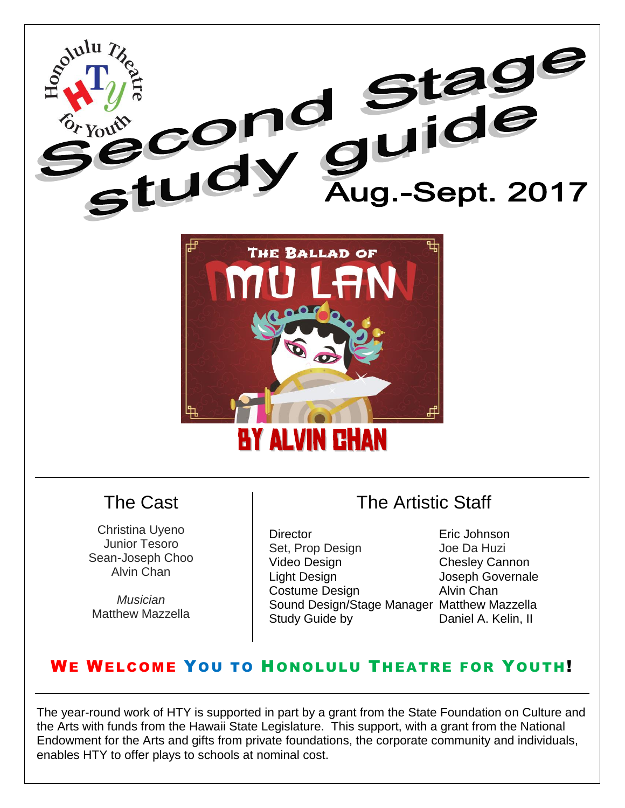



#### The Cast

Christina Uyeno Junior Tesoro Sean-Joseph Choo Alvin Chan

*Musician* Matthew Mazzella

### The Artistic Staff

Director Eric Johnson Set, Prop Design Joe Da Huzi Video Design **Chesley Cannon** Light Design **Joseph Governale**<br>
Costume Design **Costume Design Alvin Chan** Costume Design Sound Design/Stage Manager Matthew Mazzella Study Guide by Daniel A. Kelin, II

#### WE WELCOME YOU TO HONOLULU THEATRE FOR YOUTH!

The year-round work of HTY is supported in part by a grant from the State Foundation on Culture and the Arts with funds from the Hawaii State Legislature. This support, with a grant from the National Endowment for the Arts and gifts from private foundations, the corporate community and individuals, enables HTY to offer plays to schools at nominal cost.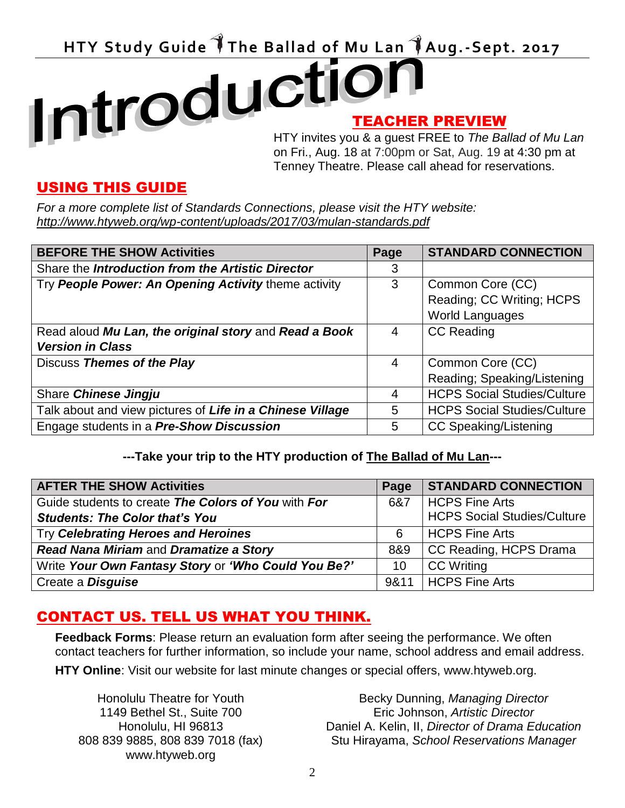## HTY Study Guide The Ballad of Mu Lan TAug.-Sept. 2017 TEACHER PREVIEW

HTY invites you & a guest FREE to *The Ballad of Mu Lan* on Fri., Aug. 18 at 7:00pm or Sat, Aug. 19 at 4:30 pm at Tenney Theatre. Please call ahead for reservations.

#### USING THIS GUIDE

*For a more complete list of Standards Connections, please visit the HTY website: http://www.htyweb.org/wp-content/uploads/2017/03/mulan-standards.pdf*

| <b>BEFORE THE SHOW Activities</b>                         | Page | <b>STANDARD CONNECTION</b>         |
|-----------------------------------------------------------|------|------------------------------------|
| Share the Introduction from the Artistic Director         | 3    |                                    |
| Try People Power: An Opening Activity theme activity      | 3    | Common Core (CC)                   |
|                                                           |      | Reading; CC Writing; HCPS          |
|                                                           |      | <b>World Languages</b>             |
| Read aloud Mu Lan, the original story and Read a Book     | 4    | <b>CC Reading</b>                  |
| <b>Version in Class</b>                                   |      |                                    |
| Discuss Themes of the Play                                | 4    | Common Core (CC)                   |
|                                                           |      | Reading; Speaking/Listening        |
| Share Chinese Jingju                                      | 4    | <b>HCPS Social Studies/Culture</b> |
| Talk about and view pictures of Life in a Chinese Village | 5    | <b>HCPS Social Studies/Culture</b> |
| Engage students in a Pre-Show Discussion                  | 5    | <b>CC Speaking/Listening</b>       |

#### **---Take your trip to the HTY production of The Ballad of Mu Lan---**

| <b>AFTER THE SHOW Activities</b>                    | Page | <b>STANDARD CONNECTION</b>         |
|-----------------------------------------------------|------|------------------------------------|
| Guide students to create The Colors of You with For | 6&7  | HCPS Fine Arts                     |
| <b>Students: The Color that's You</b>               |      | <b>HCPS Social Studies/Culture</b> |
| Try Celebrating Heroes and Heroines                 | 6    | <b>HCPS Fine Arts</b>              |
| Read Nana Miriam and Dramatize a Story              | 8&9  | CC Reading, HCPS Drama             |
| Write Your Own Fantasy Story or 'Who Could You Be?' | 10   | <b>CC</b> Writing                  |
| Create a <b>Disguise</b>                            |      | 9&11   HCPS Fine Arts              |

#### CONTACT US. TELL US WHAT YOU THINK.

**Feedback Forms**: Please return an evaluation form after seeing the performance. We often contact teachers for further information, so include your name, school address and email address.

**HTY Online**: Visit our website for last minute changes or special offers, www.htyweb.org.

Honolulu Theatre for Youth 1149 Bethel St., Suite 700 Honolulu, HI 96813 808 839 9885, 808 839 7018 (fax) www.htyweb.org

Becky Dunning, *Managing Director* Eric Johnson, *Artistic Director* Daniel A. Kelin, II, *Director of Drama Education*  Stu Hirayama, *School Reservations Manager*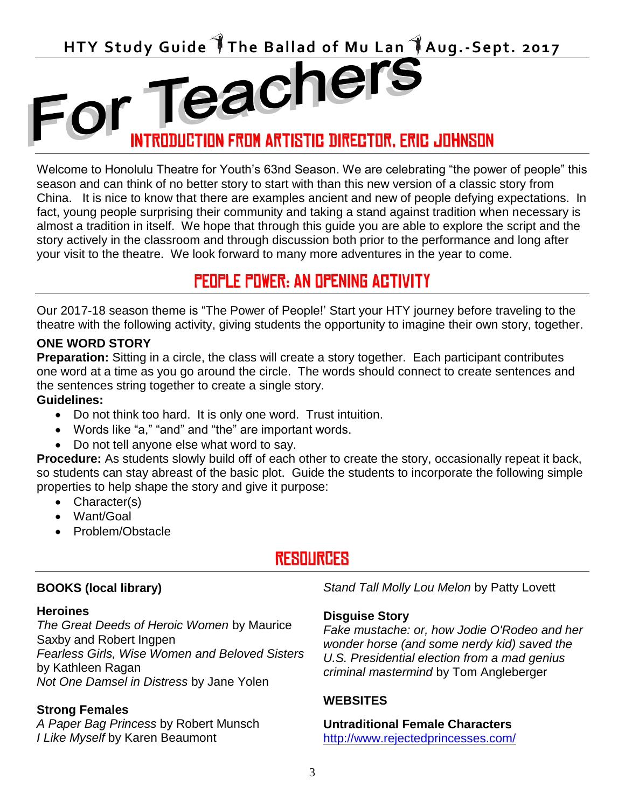

Welcome to Honolulu Theatre for Youth's 63nd Season. We are celebrating "the power of people" this season and can think of no better story to start with than this new version of a classic story from China. It is nice to know that there are examples ancient and new of people defying expectations. In fact, young people surprising their community and taking a stand against tradition when necessary is almost a tradition in itself. We hope that through this guide you are able to explore the script and the story actively in the classroom and through discussion both prior to the performance and long after your visit to the theatre. We look forward to many more adventures in the year to come.

### PEOPLE POWER: An Opening Activity

Our 2017-18 season theme is "The Power of People!' Start your HTY journey before traveling to the theatre with the following activity, giving students the opportunity to imagine their own story, together.

#### **ONE WORD STORY**

**Preparation:** Sitting in a circle, the class will create a story together. Each participant contributes one word at a time as you go around the circle. The words should connect to create sentences and the sentences string together to create a single story.

#### **Guidelines:**

- Do not think too hard. It is only one word. Trust intuition.
- Words like "a," "and" and "the" are important words.
- Do not tell anyone else what word to say.

**Procedure:** As students slowly build off of each other to create the story, occasionally repeat it back, so students can stay abreast of the basic plot. Guide the students to incorporate the following simple properties to help shape the story and give it purpose:

- Character(s)
- Want/Goal
- Problem/Obstacle

### RESOURCES

#### **BOOKS (local library)**

#### **Heroines**

*The Great Deeds of Heroic Women* by Maurice Saxby and Robert Ingpen *Fearless Girls, Wise Women and Beloved Sisters* by Kathleen Ragan *Not One Damsel in Distress* by Jane Yolen

#### **Strong Females**

*A Paper Bag Princess* by Robert Munsch *I Like Myself* by Karen Beaumont

*Stand Tall Molly Lou Melon* by Patty Lovett

#### **Disguise Story**

*Fake mustache: or, how Jodie O'Rodeo and her wonder horse (and some nerdy kid) saved the U.S. Presidential election from a mad genius criminal mastermind* by Tom Angleberger

#### **WEBSITES**

#### **Untraditional Female Characters**

<http://www.rejectedprincesses.com/>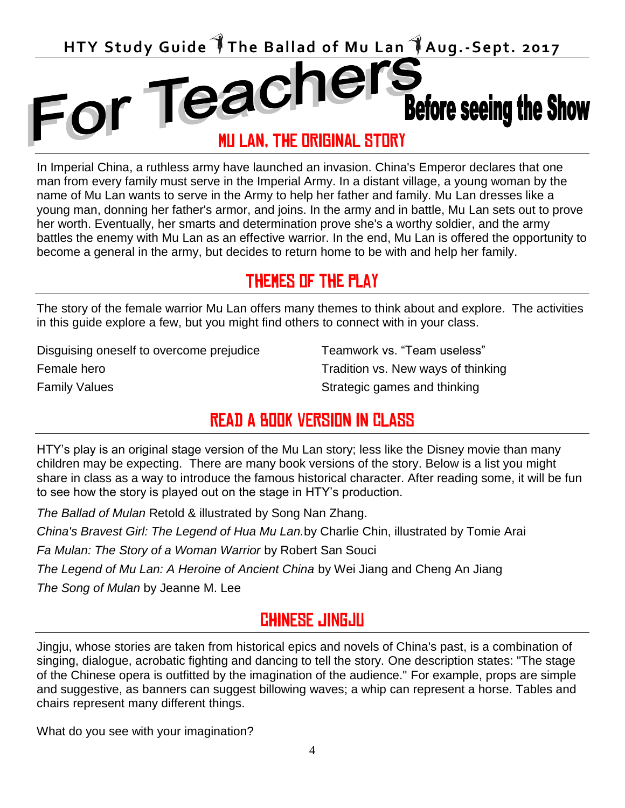

In Imperial China, a ruthless army have launched an invasion. China's Emperor declares that one man from every family must serve in the Imperial Army. In a distant village, a young woman by the name of Mu Lan wants to serve in the Army to help her father and family. Mu Lan dresses like a young man, donning her father's armor, and joins. In the army and in battle, Mu Lan sets out to prove her worth. Eventually, her smarts and determination prove she's a worthy soldier, and the army battles the enemy with Mu Lan as an effective warrior. In the end, Mu Lan is offered the opportunity to become a general in the army, but decides to return home to be with and help her family.

### Themes of the play

The story of the female warrior Mu Lan offers many themes to think about and explore. The activities in this guide explore a few, but you might find others to connect with in your class.

Disguising oneself to overcome prejudice Female hero Family Values

Teamwork vs. "Team useless" Tradition vs. New ways of thinking Strategic games and thinking

### READ A BOOK VERSION IN CLASS

HTY's play is an original stage version of the Mu Lan story; less like the Disney movie than many children may be expecting. There are many book versions of the story. Below is a list you might share in class as a way to introduce the famous historical character. After reading some, it will be fun to see how the story is played out on the stage in HTY's production.

*The Ballad of Mulan* Retold & illustrated by Song Nan Zhang.

*China's Bravest Girl: The Legend of Hua Mu Lan.*by Charlie Chin, illustrated by Tomie Arai

*Fa Mulan: The Story of a Woman Warrior* by Robert San Souci

*The Legend of Mu Lan: A Heroine of Ancient China* by Wei Jiang and Cheng An Jiang

*The Song of Mulan* by Jeanne M. Lee

#### CHINESE Jingju

Jingju, whose stories are taken from historical epics and novels of China's past, is a combination of singing, dialogue, acrobatic fighting and dancing to tell the story. One description states: "The stage of the Chinese opera is outfitted by the imagination of the audience." For example, props are simple and suggestive, as banners can suggest billowing waves; a whip can represent a horse. Tables and chairs represent many different things.

What do you see with your imagination?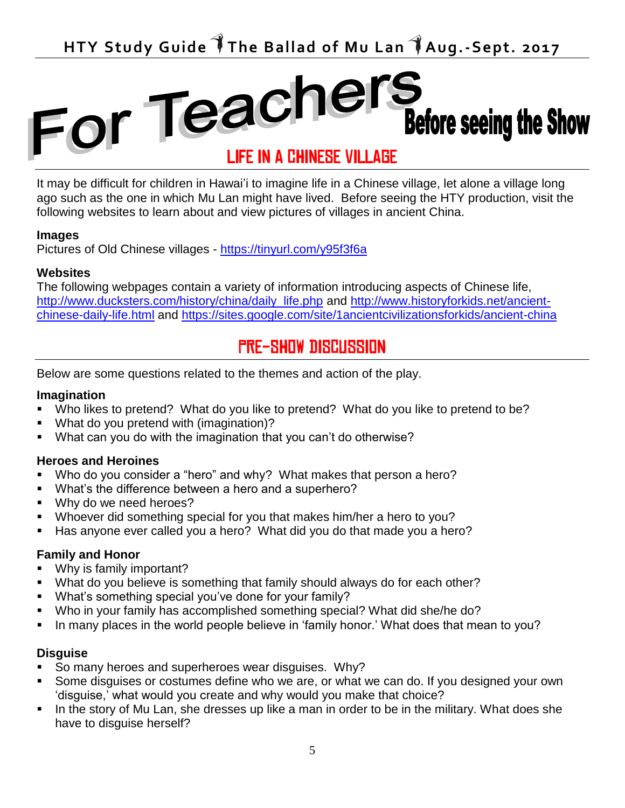## For Teachers **Before seeing the Show**

It may be difficult for children in Hawai'i to imagine life in a Chinese village, let alone a village long ago such as the one in which Mu Lan might have lived. Before seeing the HTY production, visit the following websites to learn about and view pictures of villages in ancient China.

#### **Images**

Pictures of Old Chinese villages - <https://tinyurl.com/y95f3f6a>

#### **Websites**

The following webpages contain a variety of information introducing aspects of Chinese life, [http://www.ducksters.com/history/china/daily\\_life.php](http://www.ducksters.com/history/china/daily_life.php) and [http://www.historyforkids.net/ancient](http://www.historyforkids.net/ancient-chinese-daily-life.html)[chinese-daily-life.html](http://www.historyforkids.net/ancient-chinese-daily-life.html) and<https://sites.google.com/site/1ancientcivilizationsforkids/ancient-china>

#### PRE-SHOW DISCUSSION

Below are some questions related to the themes and action of the play.

#### **Imagination**

- Who likes to pretend? What do you like to pretend? What do you like to pretend to be?
- What do you pretend with (imagination)?
- What can you do with the imagination that you can't do otherwise?

#### **Heroes and Heroines**

- Who do you consider a "hero" and why? What makes that person a hero?
- What's the difference between a hero and a superhero?
- **Why do we need heroes?**
- Whoever did something special for you that makes him/her a hero to you?
- Has anyone ever called you a hero? What did you do that made you a hero?

#### **Family and Honor**

- Why is family important?
- What do you believe is something that family should always do for each other?
- What's something special you've done for your family?
- Who in your family has accomplished something special? What did she/he do?
- In many places in the world people believe in 'family honor.' What does that mean to you?

#### **Disguise**

- So many heroes and superheroes wear disguises. Why?
- Some disguises or costumes define who we are, or what we can do. If you designed your own 'disguise,' what would you create and why would you make that choice?
- In the story of Mu Lan, she dresses up like a man in order to be in the military. What does she have to disguise herself?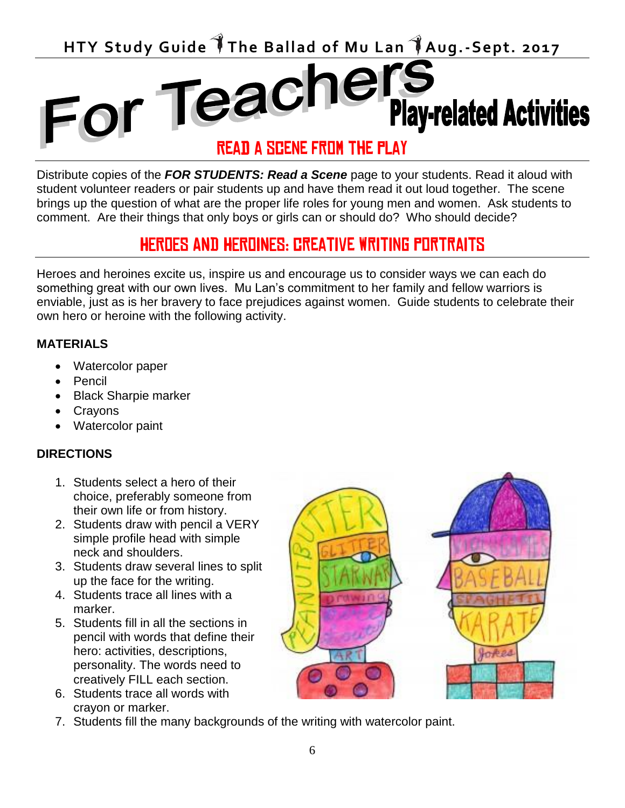**HTY Study Guide The Ballad of Mu Lan Aug.-Sept. 2017**

# For Teachers<br>READ A SCENE FROM THE PLAY

Distribute copies of the *FOR STUDENTS: Read a Scene* page to your students. Read it aloud with student volunteer readers or pair students up and have them read it out loud together. The scene brings up the question of what are the proper life roles for young men and women. Ask students to comment. Are their things that only boys or girls can or should do? Who should decide?

### HEROES AND HEROINES: creative writing portraits

Heroes and heroines excite us, inspire us and encourage us to consider ways we can each do something great with our own lives. Mu Lan's commitment to her family and fellow warriors is enviable, just as is her bravery to face prejudices against women. Guide students to celebrate their own hero or heroine with the following activity.

#### **MATERIALS**

- Watercolor paper
- Pencil
- Black Sharpie marker
- Crayons
- Watercolor paint

#### **DIRECTIONS**

- 1. Students select a hero of their choice, preferably someone from their own life or from history.
- 2. Students draw with pencil a VERY simple profile head with simple neck and shoulders.
- 3. Students draw several lines to split up the face for the writing.
- 4. Students trace all lines with a marker.
- 5. Students fill in all the sections in pencil with words that define their hero: activities, descriptions, personality. The words need to creatively FILL each section.
- 6. Students trace all words with crayon or marker.
- 
- 7. Students fill the many backgrounds of the writing with watercolor paint.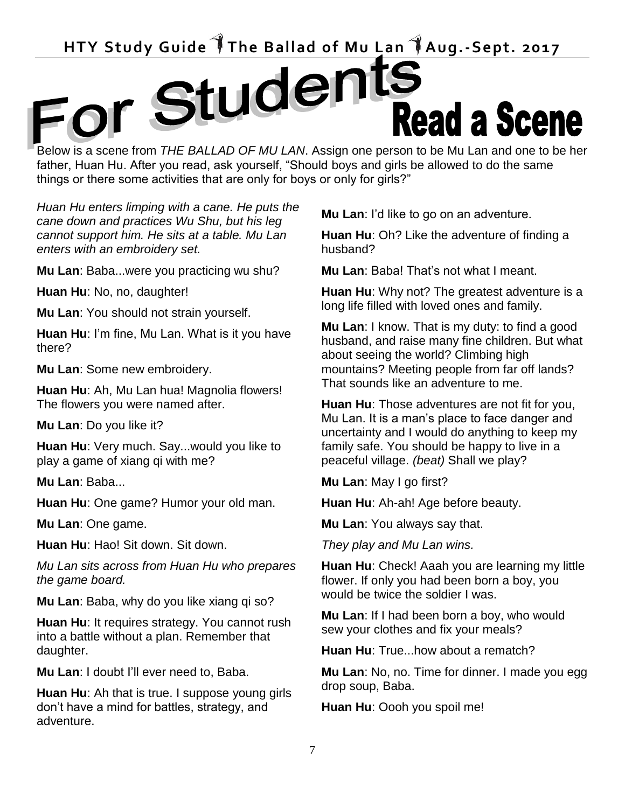# HTY Study Guide The Ballad of Mu Lan TAug.-Sept. 2017<br> **FOR Stude The Ballad of Mu Lan TAug.-Sept. 2017** Below is a scene from *THE BALLAD OF MU LAN*. Assign one person to be Mu Lan and one to be her

father, Huan Hu. After you read, ask yourself, "Should boys and girls be allowed to do the same things or there some activities that are only for boys or only for girls?"

*Huan Hu enters limping with a cane. He puts the cane down and practices Wu Shu, but his leg cannot support him. He sits at a table. Mu Lan enters with an embroidery set.* 

**Mu Lan**: Baba...were you practicing wu shu?

**Huan Hu**: No, no, daughter!

**Mu Lan**: You should not strain yourself.

**Huan Hu**: I'm fine, Mu Lan. What is it you have there?

**Mu Lan**: Some new embroidery.

**Huan Hu**: Ah, Mu Lan hua! Magnolia flowers! The flowers you were named after.

**Mu Lan**: Do you like it?

**Huan Hu**: Very much. Say...would you like to play a game of xiang qi with me?

**Mu Lan**: Baba...

**Huan Hu**: One game? Humor your old man.

**Mu Lan**: One game.

**Huan Hu**: Hao! Sit down. Sit down.

*Mu Lan sits across from Huan Hu who prepares the game board.*

**Mu Lan**: Baba, why do you like xiang qi so?

**Huan Hu**: It requires strategy. You cannot rush into a battle without a plan. Remember that daughter.

**Mu Lan**: I doubt I'll ever need to, Baba.

**Huan Hu**: Ah that is true. I suppose young girls don't have a mind for battles, strategy, and adventure.

**Mu Lan**: I'd like to go on an adventure.

**Huan Hu**: Oh? Like the adventure of finding a husband?

**Mu Lan**: Baba! That's not what I meant.

**Huan Hu**: Why not? The greatest adventure is a long life filled with loved ones and family.

**Mu Lan**: I know. That is my duty: to find a good husband, and raise many fine children. But what about seeing the world? Climbing high mountains? Meeting people from far off lands? That sounds like an adventure to me.

**Huan Hu**: Those adventures are not fit for you, Mu Lan. It is a man's place to face danger and uncertainty and I would do anything to keep my family safe. You should be happy to live in a peaceful village. *(beat)* Shall we play?

**Mu Lan**: May I go first?

**Huan Hu**: Ah-ah! Age before beauty.

**Mu Lan**: You always say that.

*They play and Mu Lan wins.* 

**Huan Hu**: Check! Aaah you are learning my little flower. If only you had been born a boy, you would be twice the soldier I was.

**Mu Lan**: If I had been born a boy, who would sew your clothes and fix your meals?

**Huan Hu**: True...how about a rematch?

**Mu Lan**: No, no. Time for dinner. I made you egg drop soup, Baba.

**Huan Hu**: Oooh you spoil me!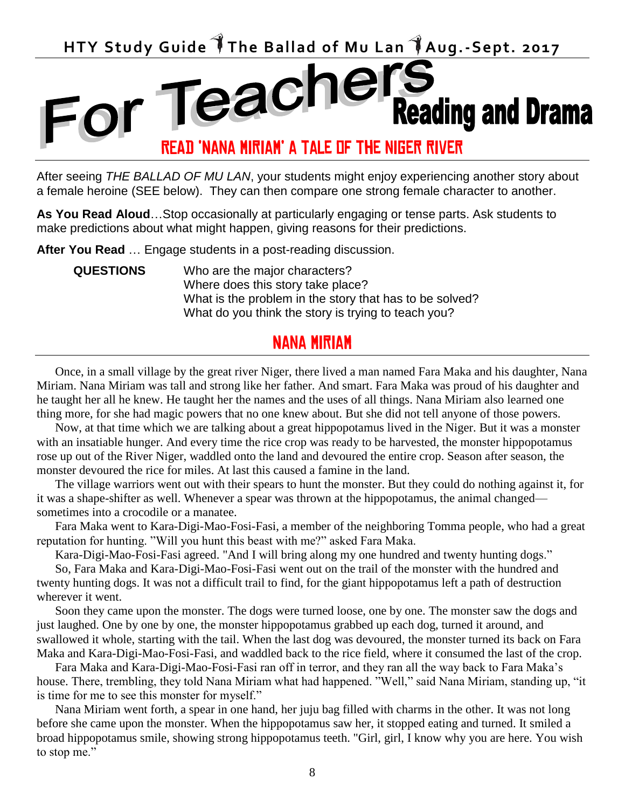## HTY Study Guide The Ballad of Mu Lan TAug.-Sept. 2017<br> **HTY Study Guide The Ballad of Mu Lan TAug.-Sept. 2017 Reading and Drama** READ 'Nana miriam' a tale of the niger river

After seeing *THE BALLAD OF MU LAN*, your students might enjoy experiencing another story about a female heroine (SEE below). They can then compare one strong female character to another.

**As You Read Aloud**…Stop occasionally at particularly engaging or tense parts. Ask students to make predictions about what might happen, giving reasons for their predictions.

**After You Read** … Engage students in a post-reading discussion.

**QUESTIONS** Who are the major characters? Where does this story take place? What is the problem in the story that has to be solved? What do you think the story is trying to teach you?

#### Nana miriam

Once, in a small village by the great river Niger, there lived a man named Fara Maka and his daughter, Nana Miriam. Nana Miriam was tall and strong like her father. And smart. Fara Maka was proud of his daughter and he taught her all he knew. He taught her the names and the uses of all things. Nana Miriam also learned one thing more, for she had magic powers that no one knew about. But she did not tell anyone of those powers.

Now, at that time which we are talking about a great hippopotamus lived in the Niger. But it was a monster with an insatiable hunger. And every time the rice crop was ready to be harvested, the monster hippopotamus rose up out of the River Niger, waddled onto the land and devoured the entire crop. Season after season, the monster devoured the rice for miles. At last this caused a famine in the land.

The village warriors went out with their spears to hunt the monster. But they could do nothing against it, for it was a shape-shifter as well. Whenever a spear was thrown at the hippopotamus, the animal changed sometimes into a crocodile or a manatee.

Fara Maka went to Kara-Digi-Mao-Fosi-Fasi, a member of the neighboring Tomma people, who had a great reputation for hunting. "Will you hunt this beast with me?" asked Fara Maka.

Kara-Digi-Mao-Fosi-Fasi agreed. "And I will bring along my one hundred and twenty hunting dogs."

So, Fara Maka and Kara-Digi-Mao-Fosi-Fasi went out on the trail of the monster with the hundred and twenty hunting dogs. It was not a difficult trail to find, for the giant hippopotamus left a path of destruction wherever it went.

Soon they came upon the monster. The dogs were turned loose, one by one. The monster saw the dogs and just laughed. One by one by one, the monster hippopotamus grabbed up each dog, turned it around, and swallowed it whole, starting with the tail. When the last dog was devoured, the monster turned its back on Fara Maka and Kara-Digi-Mao-Fosi-Fasi, and waddled back to the rice field, where it consumed the last of the crop.

Fara Maka and Kara-Digi-Mao-Fosi-Fasi ran off in terror, and they ran all the way back to Fara Maka's house. There, trembling, they told Nana Miriam what had happened. "Well," said Nana Miriam, standing up, "it is time for me to see this monster for myself."

Nana Miriam went forth, a spear in one hand, her juju bag filled with charms in the other. It was not long before she came upon the monster. When the hippopotamus saw her, it stopped eating and turned. It smiled a broad hippopotamus smile, showing strong hippopotamus teeth. "Girl, girl, I know why you are here. You wish to stop me."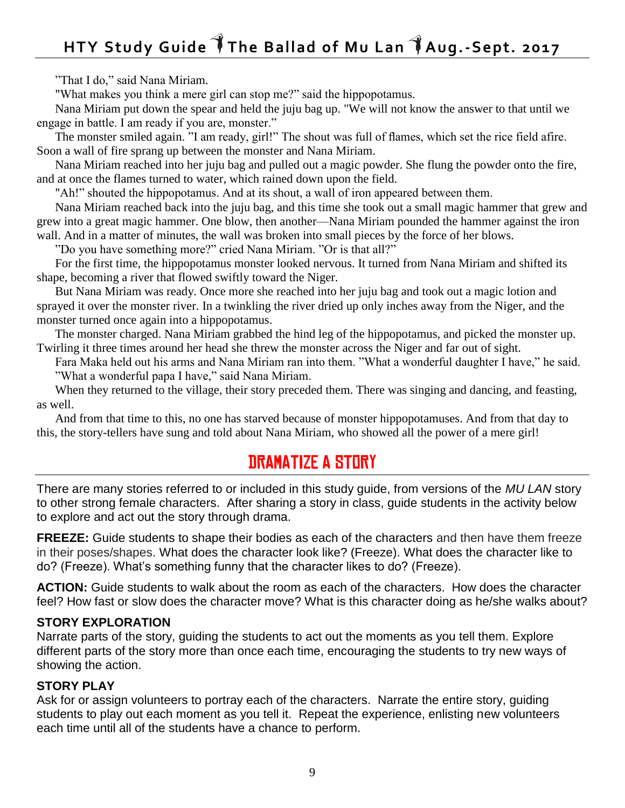## **HTY Study Guide The Ballad of Mu Lan Aug.-Sept. 2017**

"That I do," said Nana Miriam.

"What makes you think a mere girl can stop me?" said the hippopotamus.

Nana Miriam put down the spear and held the juju bag up. "We will not know the answer to that until we engage in battle. I am ready if you are, monster."

The monster smiled again. "I am ready, girl!" The shout was full of flames, which set the rice field afire. Soon a wall of fire sprang up between the monster and Nana Miriam.

Nana Miriam reached into her juju bag and pulled out a magic powder. She flung the powder onto the fire, and at once the flames turned to water, which rained down upon the field.

"Ah!" shouted the hippopotamus. And at its shout, a wall of iron appeared between them.

Nana Miriam reached back into the juju bag, and this time she took out a small magic hammer that grew and grew into a great magic hammer. One blow, then another—Nana Miriam pounded the hammer against the iron wall. And in a matter of minutes, the wall was broken into small pieces by the force of her blows.

"Do you have something more?" cried Nana Miriam. "Or is that all?"

For the first time, the hippopotamus monster looked nervous. It turned from Nana Miriam and shifted its shape, becoming a river that flowed swiftly toward the Niger.

But Nana Miriam was ready. Once more she reached into her juju bag and took out a magic lotion and sprayed it over the monster river. In a twinkling the river dried up only inches away from the Niger, and the monster turned once again into a hippopotamus.

The monster charged. Nana Miriam grabbed the hind leg of the hippopotamus, and picked the monster up. Twirling it three times around her head she threw the monster across the Niger and far out of sight.

Fara Maka held out his arms and Nana Miriam ran into them. "What a wonderful daughter I have," he said. "What a wonderful papa I have," said Nana Miriam.

When they returned to the village, their story preceded them. There was singing and dancing, and feasting, as well.

And from that time to this, no one has starved because of monster hippopotamuses. And from that day to this, the story-tellers have sung and told about Nana Miriam, who showed all the power of a mere girl!

#### DRAMATIZE A STORY

There are many stories referred to or included in this study guide, from versions of the *MU LAN* story to other strong female characters. After sharing a story in class, guide students in the activity below to explore and act out the story through drama.

**FREEZE:** Guide students to shape their bodies as each of the characters and then have them freeze in their poses/shapes. What does the character look like? (Freeze). What does the character like to do? (Freeze). What's something funny that the character likes to do? (Freeze).

**ACTION:** Guide students to walk about the room as each of the characters. How does the character feel? How fast or slow does the character move? What is this character doing as he/she walks about?

#### **STORY EXPLORATION**

Narrate parts of the story, guiding the students to act out the moments as you tell them. Explore different parts of the story more than once each time, encouraging the students to try new ways of showing the action.

#### **STORY PLAY**

Ask for or assign volunteers to portray each of the characters. Narrate the entire story, guiding students to play out each moment as you tell it. Repeat the experience, enlisting new volunteers each time until all of the students have a chance to perform.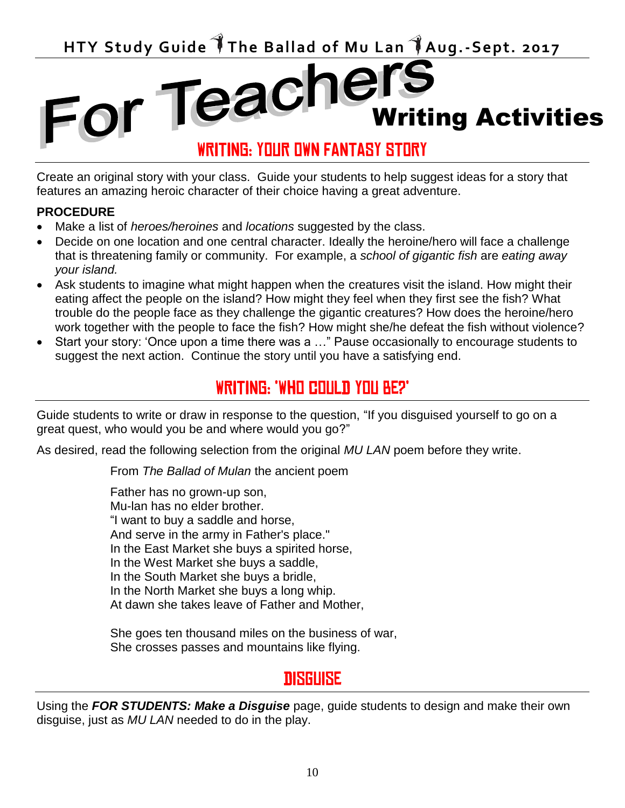HTY Study Guide The Ballad of Mu Lan TAug.-Sept. 2017<br>**FOR TEACHERS** 

#### WRITING: YOUR OWN FANTASY STORY

Writing Activities

Create an original story with your class. Guide your students to help suggest ideas for a story that features an amazing heroic character of their choice having a great adventure.

#### **PROCEDURE**

- Make a list of *heroes/heroines* and *locations* suggested by the class.
- Decide on one location and one central character. Ideally the heroine/hero will face a challenge that is threatening family or community. For example, a *school of gigantic fish* are *eating away your island.*
- Ask students to imagine what might happen when the creatures visit the island. How might their eating affect the people on the island? How might they feel when they first see the fish? What trouble do the people face as they challenge the gigantic creatures? How does the heroine/hero work together with the people to face the fish? How might she/he defeat the fish without violence?
- Start your story: 'Once upon a time there was a …" Pause occasionally to encourage students to suggest the next action. Continue the story until you have a satisfying end.

#### WRITING: 'WHO COULD YOU BE?'

Guide students to write or draw in response to the question, "If you disguised yourself to go on a great quest, who would you be and where would you go?"

As desired, read the following selection from the original *MU LAN* poem before they write.

From *The Ballad of Mulan* the ancient poem

Father has no grown-up son, Mu-lan has no elder brother. "I want to buy a saddle and horse, And serve in the army in Father's place." In the East Market she buys a spirited horse, In the West Market she buys a saddle, In the South Market she buys a bridle, In the North Market she buys a long whip. At dawn she takes leave of Father and Mother,

She goes ten thousand miles on the business of war, She crosses passes and mountains like flying.

#### disguise

Using the *FOR STUDENTS: Make a Disguise* page, guide students to design and make their own disguise, just as *MU LAN* needed to do in the play.